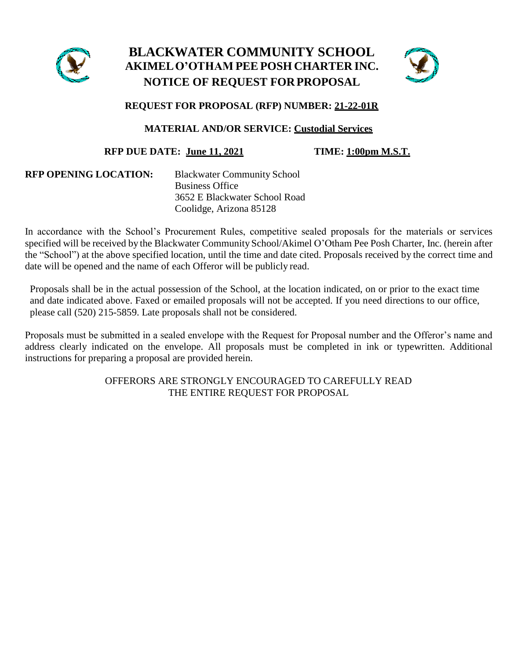

# **BLACKWATER COMMUNITY SCHOOL AKIMELO'OTHAM PEE POSH CHARTER INC. NOTICE OF REQUEST FORPROPOSAL**



# **REQUEST FOR PROPOSAL (RFP) NUMBER: 21-22-01R**

# **MATERIAL AND/OR SERVICE: Custodial Services**

# **RFP DUE DATE: June 11, 2021 TIME: 1:00pm M.S.T.**

| <b>RFP OPENING LOCATION:</b> | <b>Blackwater Community School</b> |  |
|------------------------------|------------------------------------|--|
|                              | <b>Business Office</b>             |  |
|                              | 3652 E Blackwater School Road      |  |
|                              | Coolidge, Arizona 85128            |  |

In accordance with the School's Procurement Rules, competitive sealed proposals for the materials or services specified will be received by the Blackwater Community School/Akimel O'Otham Pee Posh Charter, Inc. (herein after the "School") at the above specified location, until the time and date cited. Proposals received by the correct time and date will be opened and the name of each Offeror will be publicly read.

Proposals shall be in the actual possession of the School, at the location indicated, on or prior to the exact time and date indicated above. Faxed or emailed proposals will not be accepted. If you need directions to our office, please call (520) 215-5859. Late proposals shall not be considered.

Proposals must be submitted in a sealed envelope with the Request for Proposal number and the Offeror's name and address clearly indicated on the envelope. All proposals must be completed in ink or typewritten. Additional instructions for preparing a proposal are provided herein.

> OFFERORS ARE STRONGLY ENCOURAGED TO CAREFULLY READ THE ENTIRE REQUEST FOR PROPOSAL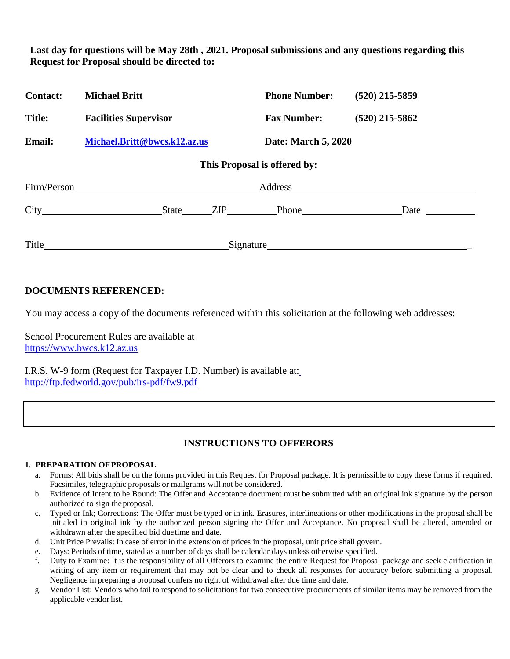**Last day for questions will be May 28th , 2021. Proposal submissions and any questions regarding this Request for Proposal should be directed to:**

| <b>Contact:</b> | <b>Michael Britt</b>         | <b>Phone Number:</b>         | $(520)$ 215-5859 |
|-----------------|------------------------------|------------------------------|------------------|
| <b>Title:</b>   | <b>Facilities Supervisor</b> | <b>Fax Number:</b>           | $(520)$ 215-5862 |
| <b>Email:</b>   | Michael.Britt@bwcs.k12.az.us | Date: March 5, 2020          |                  |
|                 |                              | This Proposal is offered by: |                  |
| Firm/Person     |                              |                              |                  |
|                 | State                        |                              | Date_            |
| Title           |                              | Signature                    |                  |

# **DOCUMENTS REFERENCED:**

You may access a copy of the documents referenced within this solicitation at the following web addresses:

School Procurement Rules are available at [https://www.bwcs.k12.az.us](https://www.bwcs.k12.az.us/)

I.R.S. W-9 form (Request for Taxpayer I.D. Number) is available at: <http://ftp.fedworld.gov/pub/irs-pdf/fw9.pdf>

# **INSTRUCTIONS TO OFFERORS**

# **1. PREPARATION OFPROPOSAL**

- a. Forms: All bids shall be on the forms provided in this Request for Proposal package. It is permissible to copy these forms if required. Facsimiles, telegraphic proposals or mailgrams will not be considered.
- b. Evidence of Intent to be Bound: The Offer and Acceptance document must be submitted with an original ink signature by the person authorized to sign the proposal.
- c. Typed or Ink; Corrections: The Offer must be typed or in ink. Erasures, interlineations or other modifications in the proposal shall be initialed in original ink by the authorized person signing the Offer and Acceptance. No proposal shall be altered, amended or withdrawn after the specified bid duetime and date.
- d. Unit Price Prevails: In case of error in the extension of prices in the proposal, unit price shall govern.
- e. Days: Periods of time, stated as a number of days shall be calendar days unless otherwise specified.
- f. Duty to Examine: It is the responsibility of all Offerors to examine the entire Request for Proposal package and seek clarification in writing of any item or requirement that may not be clear and to check all responses for accuracy before submitting a proposal. Negligence in preparing a proposal confers no right of withdrawal after due time and date.
- g. Vendor List: Vendors who fail to respond to solicitations for two consecutive procurements of similar items may be removed from the applicable vendor list.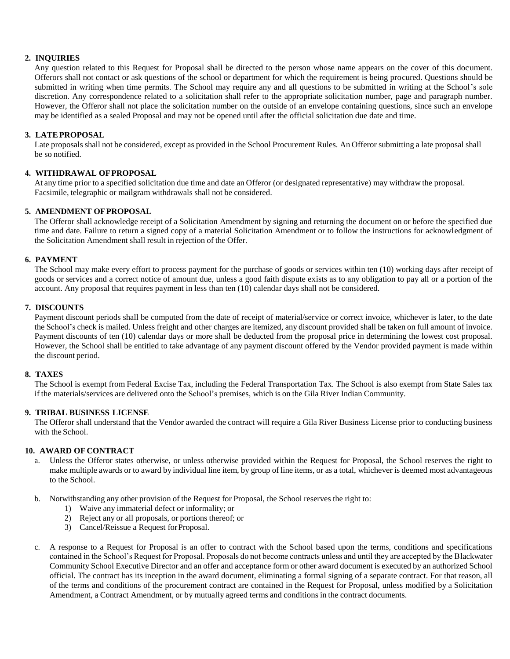# **2. INQUIRIES**

Any question related to this Request for Proposal shall be directed to the person whose name appears on the cover of this document. Offerors shall not contact or ask questions of the school or department for which the requirement is being procured. Questions should be submitted in writing when time permits. The School may require any and all questions to be submitted in writing at the School's sole discretion. Any correspondence related to a solicitation shall refer to the appropriate solicitation number, page and paragraph number. However, the Offeror shall not place the solicitation number on the outside of an envelope containing questions, since such an envelope may be identified as a sealed Proposal and may not be opened until after the official solicitation due date and time.

# **3. LATEPROPOSAL**

Late proposals shall not be considered, except as provided in the School Procurement Rules. An Offeror submitting a late proposal shall be so notified.

# **4. WITHDRAWAL OFPROPOSAL**

At any time prior to a specified solicitation due time and date an Offeror (or designated representative) may withdraw the proposal. Facsimile, telegraphic or mailgram withdrawals shall not be considered.

# **5. AMENDMENT OFPROPOSAL**

The Offeror shall acknowledge receipt of a Solicitation Amendment by signing and returning the document on or before the specified due time and date. Failure to return a signed copy of a material Solicitation Amendment or to follow the instructions for acknowledgment of the Solicitation Amendment shall result in rejection of the Offer.

# **6. PAYMENT**

The School may make every effort to process payment for the purchase of goods or services within ten (10) working days after receipt of goods or services and a correct notice of amount due, unless a good faith dispute exists as to any obligation to pay all or a portion of the account. Any proposal that requires payment in less than ten (10) calendar days shall not be considered.

# **7. DISCOUNTS**

Payment discount periods shall be computed from the date of receipt of material/service or correct invoice, whichever is later, to the date the School's check is mailed. Unless freight and other charges are itemized, any discount provided shall be taken on full amount of invoice. Payment discounts of ten (10) calendar days or more shall be deducted from the proposal price in determining the lowest cost proposal. However, the School shall be entitled to take advantage of any payment discount offered by the Vendor provided payment is made within the discount period.

# **8. TAXES**

The School is exempt from Federal Excise Tax, including the Federal Transportation Tax. The School is also exempt from State Sales tax if the materials/services are delivered onto the School's premises, which is on the Gila River Indian Community.

# **9. TRIBAL BUSINESS LICENSE**

The Offeror shall understand that the Vendor awarded the contract will require a Gila River Business License prior to conducting business with the School.

# **10. AWARD OF CONTRACT**

- a. Unless the Offeror states otherwise, or unless otherwise provided within the Request for Proposal, the School reserves the right to make multiple awards or to award by individual line item, by group of line items, or as a total, whichever is deemed most advantageous to the School.
- b. Notwithstanding any other provision of the Request for Proposal, the School reserves the right to:
	- 1) Waive any immaterial defect or informality; or
	- 2) Reject any or all proposals, or portions thereof; or
	- 3) Cancel/Reissue a Request forProposal.
- c. A response to a Request for Proposal is an offer to contract with the School based upon the terms, conditions and specifications contained in the School's Request for Proposal. Proposals do not become contracts unless and until they are accepted by the Blackwater Community School Executive Director and an offer and acceptance form or other award document is executed by an authorized School official. The contract has its inception in the award document, eliminating a formal signing of a separate contract. For that reason, all of the terms and conditions of the procurement contract are contained in the Request for Proposal, unless modified by a Solicitation Amendment, a Contract Amendment, or by mutually agreed terms and conditions in the contract documents.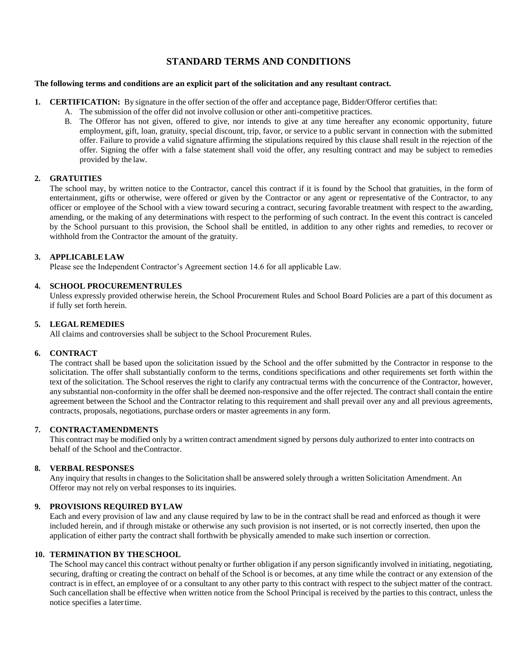# **STANDARD TERMS AND CONDITIONS**

#### **The following terms and conditions are an explicit part of the solicitation and any resultant contract.**

- **1. CERTIFICATION:** By signature in the offer section of the offer and acceptance page, Bidder/Offeror certifies that:
	- A. The submission of the offer did not involve collusion or other anti-competitive practices.
	- B. The Offeror has not given, offered to give, nor intends to give at any time hereafter any economic opportunity, future employment, gift, loan, gratuity, special discount, trip, favor, or service to a public servant in connection with the submitted offer. Failure to provide a valid signature affirming the stipulations required by this clause shall result in the rejection of the offer. Signing the offer with a false statement shall void the offer, any resulting contract and may be subject to remedies provided by the law.

# **2. GRATUITIES**

The school may, by written notice to the Contractor, cancel this contract if it is found by the School that gratuities, in the form of entertainment, gifts or otherwise, were offered or given by the Contractor or any agent or representative of the Contractor, to any officer or employee of the School with a view toward securing a contract, securing favorable treatment with respect to the awarding, amending, or the making of any determinations with respect to the performing of such contract. In the event this contract is canceled by the School pursuant to this provision, the School shall be entitled, in addition to any other rights and remedies, to recover or withhold from the Contractor the amount of the gratuity.

# **3. APPLICABLELAW**

Please see the Independent Contractor's Agreement section 14.6 for all applicable Law.

# **4. SCHOOL PROCUREMENTRULES**

Unless expressly provided otherwise herein, the School Procurement Rules and School Board Policies are a part of this document as if fully set forth herein.

# **5. LEGAL REMEDIES**

All claims and controversies shall be subject to the School Procurement Rules.

# **6. CONTRACT**

The contract shall be based upon the solicitation issued by the School and the offer submitted by the Contractor in response to the solicitation. The offer shall substantially conform to the terms, conditions specifications and other requirements set forth within the text of the solicitation. The School reserves the right to clarify any contractual terms with the concurrence of the Contractor, however, any substantial non-conformity in the offer shall be deemed non-responsive and the offer rejected. The contract shall contain the entire agreement between the School and the Contractor relating to this requirement and shall prevail over any and all previous agreements, contracts, proposals, negotiations, purchase orders or master agreements in any form.

# **7. CONTRACTAMENDMENTS**

This contract may be modified only by a written contract amendment signed by persons duly authorized to enter into contracts on behalf of the School and theContractor.

# **8. VERBAL RESPONSES**

Any inquiry that results in changes to the Solicitation shall be answered solely through a written Solicitation Amendment. An Offeror may not rely on verbal responses to its inquiries.

# **9. PROVISIONS REQUIRED BYLAW**

Each and every provision of law and any clause required by law to be in the contract shall be read and enforced as though it were included herein, and if through mistake or otherwise any such provision is not inserted, or is not correctly inserted, then upon the application of either party the contract shall forthwith be physically amended to make such insertion or correction.

# **10. TERMINATION BY THESCHOOL**

The School may cancel this contract without penalty or further obligation if any person significantly involved in initiating, negotiating, securing, drafting or creating the contract on behalf of the School is or becomes, at any time while the contract or any extension of the contract is in effect, an employee of or a consultant to any other party to this contract with respect to the subject matter of the contract. Such cancellation shall be effective when written notice from the School Principal is received by the parties to this contract, unless the notice specifies a latertime.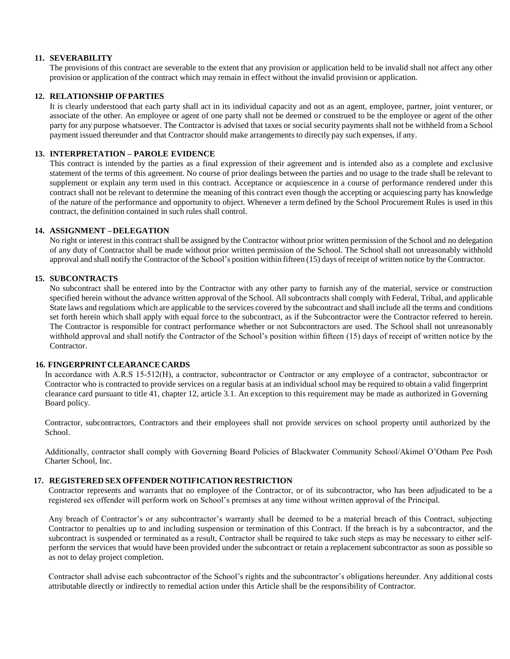#### **11. SEVERABILITY**

The provisions of this contract are severable to the extent that any provision or application held to be invalid shall not affect any other provision or application of the contract which may remain in effect without the invalid provision or application.

#### **12. RELATIONSHIP OFPARTIES**

It is clearly understood that each party shall act in its individual capacity and not as an agent, employee, partner, joint venturer, or associate of the other. An employee or agent of one party shall not be deemed or construed to be the employee or agent of the other party for any purpose whatsoever. The Contractor is advised that taxes or social security payments shall not be withheld from a School payment issued thereunder and that Contractor should make arrangements to directly pay such expenses, if any.

#### **13. INTERPRETATION – PAROLE EVIDENCE**

This contract is intended by the parties as a final expression of their agreement and is intended also as a complete and exclusive statement of the terms of this agreement. No course of prior dealings between the parties and no usage to the trade shall be relevant to supplement or explain any term used in this contract. Acceptance or acquiescence in a course of performance rendered under this contract shall not be relevant to determine the meaning of this contract even though the accepting or acquiescing party has knowledge of the nature of the performance and opportunity to object. Whenever a term defined by the School Procurement Rules is used in this contract, the definition contained in such rules shall control.

#### **14. ASSIGNMENT –DELEGATION**

No right or interest in this contract shall be assigned by the Contractor without prior written permission of the School and no delegation of any duty of Contractor shall be made without prior written permission of the School. The School shall not unreasonably withhold approval and shall notify the Contractor ofthe School's position within fifteen (15) days of receipt of written notice by the Contractor.

#### **15. SUBCONTRACTS**

No subcontract shall be entered into by the Contractor with any other party to furnish any of the material, service or construction specified herein without the advance written approval of the School. All subcontracts shall comply with Federal, Tribal, and applicable State laws and regulations which are applicable to the services covered by the subcontract and shall include all the terms and conditions set forth herein which shall apply with equal force to the subcontract, as if the Subcontractor were the Contractor referred to herein. The Contractor is responsible for contract performance whether or not Subcontractors are used. The School shall not unreasonably withhold approval and shall notify the Contractor of the School's position within fifteen (15) days of receipt of written notice by the **Contractor** 

#### **16. FINGERPRINTCLEARANCE CARDS**

In accordance with A.R.S 15‐512(H), a contractor, subcontractor or Contractor or any employee of a contractor, subcontractor or Contractor who is contracted to provide services on a regular basis at an individual school may be required to obtain a valid fingerprint clearance card pursuant to title 41, chapter 12, article 3.1. An exception to this requirement may be made as authorized in Governing Board policy.

Contractor, subcontractors, Contractors and their employees shall not provide services on school property until authorized by the School.

Additionally, contractor shall comply with Governing Board Policies of Blackwater Community School/Akimel O'Otham Pee Posh Charter School, Inc.

#### **17. REGISTERED SEX OFFENDER NOTIFICATION RESTRICTION**

Contractor represents and warrants that no employee of the Contractor, or of its subcontractor, who has been adjudicated to be a registered sex offender will perform work on School's premises at any time without written approval of the Principal.

Any breach of Contractor's or any subcontractor's warranty shall be deemed to be a material breach of this Contract, subjecting Contractor to penalties up to and including suspension or termination of this Contract. If the breach is by a subcontractor, and the subcontract is suspended or terminated as a result, Contractor shall be required to take such steps as may be necessary to either selfperform the services that would have been provided under the subcontract or retain a replacement subcontractor as soon as possible so as not to delay project completion.

Contractor shall advise each subcontractor of the School's rights and the subcontractor's obligations hereunder. Any additional costs attributable directly or indirectly to remedial action under this Article shall be the responsibility of Contractor.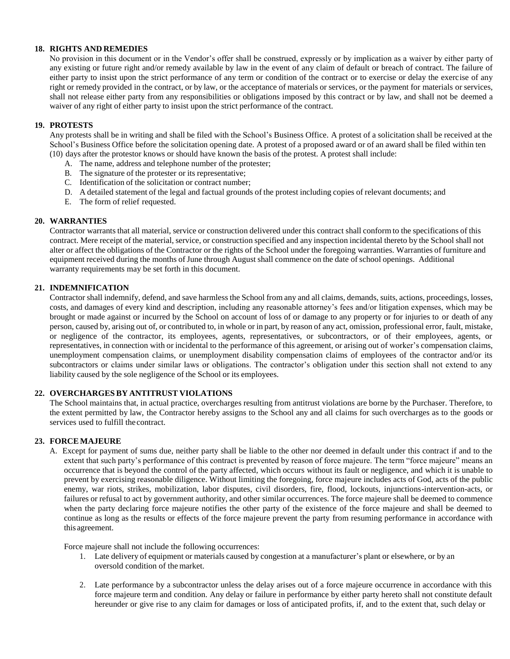#### **18. RIGHTS AND REMEDIES**

No provision in this document or in the Vendor's offer shall be construed, expressly or by implication as a waiver by either party of any existing or future right and/or remedy available by law in the event of any claim of default or breach of contract. The failure of either party to insist upon the strict performance of any term or condition of the contract or to exercise or delay the exercise of any right or remedy provided in the contract, or by law, or the acceptance of materials or services, or the payment for materials or services, shall not release either party from any responsibilities or obligations imposed by this contract or by law, and shall not be deemed a waiver of any right of either party to insist upon the strict performance of the contract.

#### **19. PROTESTS**

Any protests shall be in writing and shall be filed with the School's Business Office. A protest of a solicitation shall be received at the School's Business Office before the solicitation opening date. A protest of a proposed award or of an award shall be filed within ten (10) days after the protestor knows or should have known the basis of the protest. A protest shall include:

- A. The name, address and telephone number of the protester;
- B. The signature of the protester or its representative;
- C. Identification of the solicitation or contract number;
- D. A detailed statement of the legal and factual grounds of the protest including copies of relevant documents; and
- E. The form of relief requested.

#### **20. WARRANTIES**

Contractor warrants that all material, service or construction delivered under this contract shall conform to the specifications of this contract. Mere receipt of the material, service, or construction specified and any inspection incidental thereto by the School shall not alter or affect the obligations of the Contractor or the rights of the School under the foregoing warranties. Warranties of furniture and equipment received during the months ofJune through August shall commence on the date ofschool openings. Additional warranty requirements may be set forth in this document.

# **21. INDEMNIFICATION**

Contractor shall indemnify, defend, and save harmless the School from any and all claims, demands, suits, actions, proceedings, losses, costs, and damages of every kind and description, including any reasonable attorney's fees and/or litigation expenses, which may be brought or made against or incurred by the School on account of loss of or damage to any property or for injuries to or death of any person, caused by, arising out of, or contributed to, in whole or in part, by reason of any act, omission, professional error, fault, mistake, or negligence of the contractor, its employees, agents, representatives, or subcontractors, or of their employees, agents, or representatives, in connection with or incidental to the performance of this agreement, or arising out of worker's compensation claims, unemployment compensation claims, or unemployment disability compensation claims of employees of the contractor and/or its subcontractors or claims under similar laws or obligations. The contractor's obligation under this section shall not extend to any liability caused by the sole negligence of the School or its employees.

# **22. OVERCHARGES BY ANTITRUST VIOLATIONS**

The School maintains that, in actual practice, overcharges resulting from antitrust violations are borne by the Purchaser. Therefore, to the extent permitted by law, the Contractor hereby assigns to the School any and all claims for such overcharges as to the goods or services used to fulfill the contract.

# **23. FORCEMAJEURE**

A. Except for payment of sums due, neither party shall be liable to the other nor deemed in default under this contract if and to the extent that such party's performance of this contract is prevented by reason of force majeure. The term "force majeure" means an occurrence that is beyond the control of the party affected, which occurs without its fault or negligence, and which it is unable to prevent by exercising reasonable diligence. Without limiting the foregoing, force majeure includes acts of God, acts of the public enemy, war riots, strikes, mobilization, labor disputes, civil disorders, fire, flood, lockouts, injunctions-intervention-acts, or failures or refusal to act by government authority, and other similar occurrences. The force majeure shall be deemed to commence when the party declaring force majeure notifies the other party of the existence of the force majeure and shall be deemed to continue as long as the results or effects of the force majeure prevent the party from resuming performance in accordance with this agreement.

Force majeure shall not include the following occurrences:

- 1. Late delivery of equipment or materials caused by congestion at a manufacturer's plant or elsewhere, or by an oversold condition of the market.
- 2. Late performance by a subcontractor unless the delay arises out of a force majeure occurrence in accordance with this force majeure term and condition. Any delay or failure in performance by either party hereto shall not constitute default hereunder or give rise to any claim for damages or loss of anticipated profits, if, and to the extent that, such delay or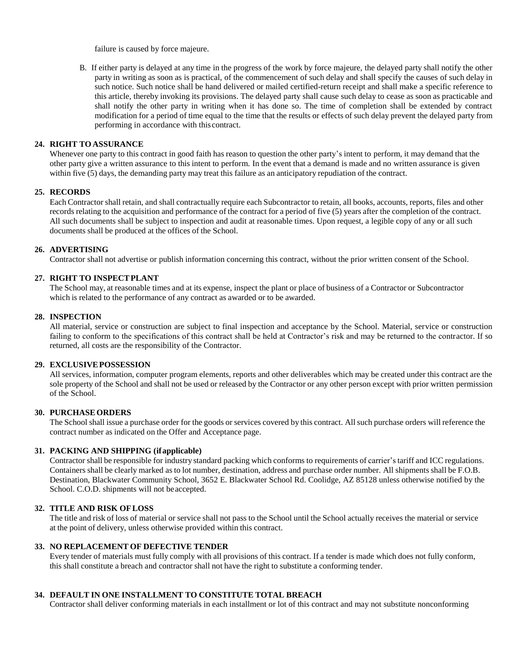failure is caused by force majeure.

B. If either party is delayed at any time in the progress of the work by force majeure, the delayed party shall notify the other party in writing as soon as is practical, of the commencement of such delay and shall specify the causes of such delay in such notice. Such notice shall be hand delivered or mailed certified-return receipt and shall make a specific reference to this article, thereby invoking its provisions. The delayed party shall cause such delay to cease as soon as practicable and shall notify the other party in writing when it has done so. The time of completion shall be extended by contract modification for a period of time equal to the time that the results or effects of such delay prevent the delayed party from performing in accordance with this contract.

#### **24. RIGHT TOASSURANCE**

Whenever one party to this contract in good faith has reason to question the other party's intent to perform, it may demand that the other party give a written assurance to this intent to perform. In the event that a demand is made and no written assurance is given within five (5) days, the demanding party may treat this failure as an anticipatory repudiation of the contract.

#### **25. RECORDS**

Each Contractor shall retain, and shall contractually require each Subcontractor to retain, all books, accounts, reports, files and other records relating to the acquisition and performance of the contract for a period of five (5) years after the completion of the contract. All such documents shall be subject to inspection and audit at reasonable times. Upon request, a legible copy of any or all such documents shall be produced at the offices of the School.

#### **26. ADVERTISING**

Contractor shall not advertise or publish information concerning this contract, without the prior written consent of the School.

#### **27. RIGHT TO INSPECTPLANT**

The School may, at reasonable times and at its expense, inspect the plant or place of business of a Contractor or Subcontractor which is related to the performance of any contract as awarded or to be awarded.

#### **28. INSPECTION**

All material, service or construction are subject to final inspection and acceptance by the School. Material, service or construction failing to conform to the specifications of this contract shall be held at Contractor's risk and may be returned to the contractor. If so returned, all costs are the responsibility of the Contractor.

#### **29. EXCLUSIVEPOSSESSION**

All services, information, computer program elements, reports and other deliverables which may be created under this contract are the sole property of the School and shall not be used or released by the Contractor or any other person except with prior written permission of the School.

# **30. PURCHASEORDERS**

The School shall issue a purchase order for the goods or services covered by this contract. Allsuch purchase orders will reference the contract number as indicated on the Offer and Acceptance page.

# **31. PACKING AND SHIPPING (ifapplicable)**

Contractor shall be responsible for industry standard packing which conforms to requirements of carrier'stariff and ICC regulations. Containers shall be clearly marked asto lot number, destination, address and purchase order number. All shipments shall be F.O.B. Destination, Blackwater Community School, 3652 E. Blackwater School Rd. Coolidge, AZ 85128 unless otherwise notified by the School. C.O.D. shipments will not beaccepted.

# **32. TITLE AND RISK OFLOSS**

The title and risk of loss of material or service shall not pass to the School until the School actually receives the material or service at the point of delivery, unless otherwise provided within this contract.

#### **33. NO REPLACEMENT OF DEFECTIVE TENDER**

Every tender of materials must fully comply with all provisions of this contract. If a tender is made which does not fully conform, this shall constitute a breach and contractor shall not have the right to substitute a conforming tender.

# **34. DEFAULT IN ONE INSTALLMENT TO CONSTITUTE TOTAL BREACH**

Contractor shall deliver conforming materials in each installment or lot of this contract and may not substitute nonconforming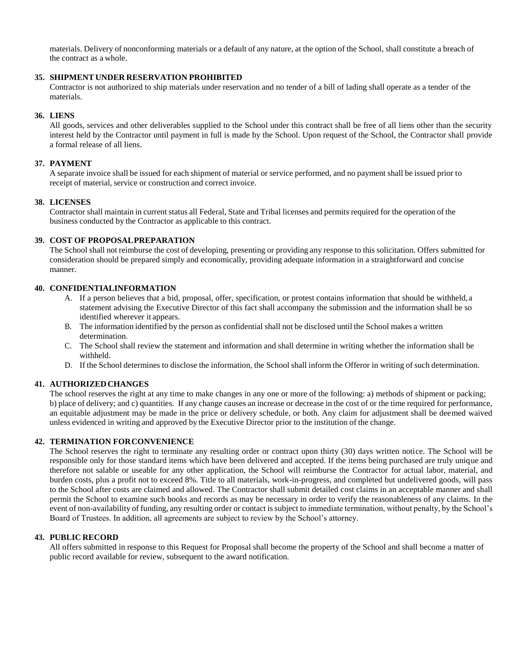materials. Delivery of nonconforming materials or a default of any nature, at the option of the School, shall constitute a breach of the contract as a whole.

#### **35. SHIPMENT UNDER RESERVATION PROHIBITED**

Contractor is not authorized to ship materials under reservation and no tender of a bill of lading shall operate as a tender of the materials.

#### **36. LIENS**

All goods, services and other deliverables supplied to the School under this contract shall be free of all liens other than the security interest held by the Contractor until payment in full is made by the School. Upon request of the School, the Contractor shall provide a formal release of all liens.

#### **37. PAYMENT**

A separate invoice shall be issued for each shipment of material or service performed, and no payment shall be issued prior to receipt of material, service or construction and correct invoice.

#### **38. LICENSES**

Contractor shall maintain in current status all Federal, State and Tribal licenses and permits required for the operation of the business conducted by the Contractor as applicable to this contract.

#### **39. COST OF PROPOSALPREPARATION**

The School shall not reimburse the cost of developing, presenting or providing any response to this solicitation. Offers submitted for consideration should be prepared simply and economically, providing adequate information in a straightforward and concise manner.

#### **40. CONFIDENTIALINFORMATION**

- A. If a person believes that a bid, proposal, offer, specification, or protest contains information that should be withheld, a statement advising the Executive Director of this fact shall accompany the submission and the information shall be so identified wherever it appears.
- B. The information identified by the person as confidential shall not be disclosed until the School makes a written determination.
- C. The School shall review the statement and information and shall determine in writing whether the information shall be withheld.
- D. If the School determines to disclose the information, the School shall inform the Offeror in writing of such determination.

# **41. AUTHORIZEDCHANGES**

The school reserves the right at any time to make changes in any one or more of the following: a) methods of shipment or packing; b) place of delivery; and c) quantities. If any change causes an increase or decrease in the cost of or the time required for performance, an equitable adjustment may be made in the price or delivery schedule, or both. Any claim for adjustment shall be deemed waived unless evidenced in writing and approved by the Executive Director prior to the institution of the change.

# **42. TERMINATION FORCONVENIENCE**

The School reserves the right to terminate any resulting order or contract upon thirty (30) days written notice. The School will be responsible only for those standard items which have been delivered and accepted. If the items being purchased are truly unique and therefore not salable or useable for any other application, the School will reimburse the Contractor for actual labor, material, and burden costs, plus a profit not to exceed 8%. Title to all materials, work-in-progress, and completed but undelivered goods, will pass to the School after costs are claimed and allowed. The Contractor shall submit detailed cost claims in an acceptable manner and shall permit the School to examine such books and records as may be necessary in order to verify the reasonableness of any claims. In the event of non-availability of funding, any resulting order or contact is subject to immediate termination, without penalty, by the School's Board of Trustees. In addition, all agreements are subject to review by the School's attorney.

#### **43. PUBLIC RECORD**

All offers submitted in response to this Request for Proposal shall become the property of the School and shall become a matter of public record available for review, subsequent to the award notification.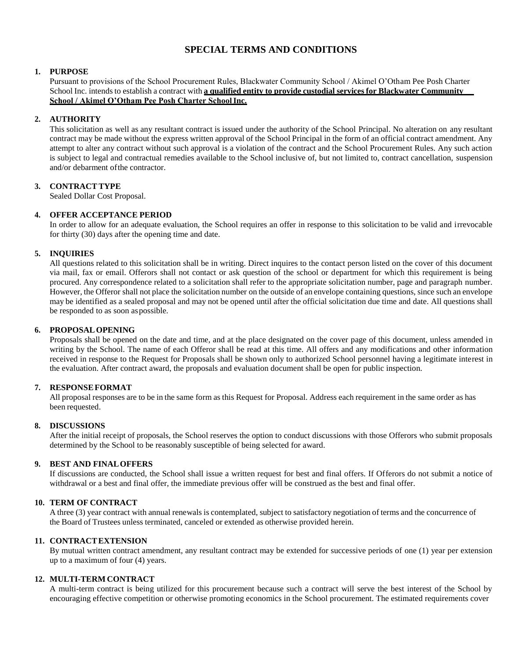# **SPECIAL TERMS AND CONDITIONS**

# **1. PURPOSE**

Pursuant to provisions of the School Procurement Rules, Blackwater Community School / Akimel O'Otham Pee Posh Charter School Inc. intends to establish a contract with **a qualified entity to provide custodial services for Blackwater Community School / Akimel O'Otham Pee Posh Charter SchoolInc.**

# **2. AUTHORITY**

This solicitation as well as any resultant contract is issued under the authority of the School Principal. No alteration on any resultant contract may be made without the express written approval of the School Principal in the form of an official contract amendment. Any attempt to alter any contract without such approval is a violation of the contract and the School Procurement Rules. Any such action is subject to legal and contractual remedies available to the School inclusive of, but not limited to, contract cancellation, suspension and/or debarment ofthe contractor.

# **3. CONTRACTTYPE**

Sealed Dollar Cost Proposal.

# **4. OFFER ACCEPTANCE PERIOD**

In order to allow for an adequate evaluation, the School requires an offer in response to this solicitation to be valid and irrevocable for thirty (30) days after the opening time and date.

# **5. INQUIRIES**

All questions related to this solicitation shall be in writing. Direct inquires to the contact person listed on the cover of this document via mail, fax or email. Offerors shall not contact or ask question of the school or department for which this requirement is being procured. Any correspondence related to a solicitation shall refer to the appropriate solicitation number, page and paragraph number. However, the Offeror shall not place the solicitation number on the outside of an envelope containing questions, since such an envelope may be identified as a sealed proposal and may not be opened until after the official solicitation due time and date. All questions shall be responded to as soon aspossible.

# **6. PROPOSALOPENING**

Proposals shall be opened on the date and time, and at the place designated on the cover page of this document, unless amended in writing by the School. The name of each Offeror shall be read at this time. All offers and any modifications and other information received in response to the Request for Proposals shall be shown only to authorized School personnel having a legitimate interest in the evaluation. After contract award, the proposals and evaluation document shall be open for public inspection.

# **7. RESPONSEFORMAT**

All proposal responses are to be in the same form as this Request for Proposal. Address each requirement in the same order as has been requested.

# **8. DISCUSSIONS**

After the initial receipt of proposals, the School reserves the option to conduct discussions with those Offerors who submit proposals determined by the School to be reasonably susceptible of being selected for award.

# **9. BEST AND FINALOFFERS**

If discussions are conducted, the School shall issue a written request for best and final offers. If Offerors do not submit a notice of withdrawal or a best and final offer, the immediate previous offer will be construed as the best and final offer.

# **10. TERM OF CONTRACT**

A three (3) year contract with annual renewals is contemplated, subject to satisfactory negotiation of terms and the concurrence of the Board of Trustees unless terminated, canceled or extended as otherwise provided herein.

# **11. CONTRACTEXTENSION**

By mutual written contract amendment, any resultant contract may be extended for successive periods of one (1) year per extension up to a maximum of four (4) years.

# **12. MULTI-TERM CONTRACT**

A multi-term contract is being utilized for this procurement because such a contract will serve the best interest of the School by encouraging effective competition or otherwise promoting economics in the School procurement. The estimated requirements cover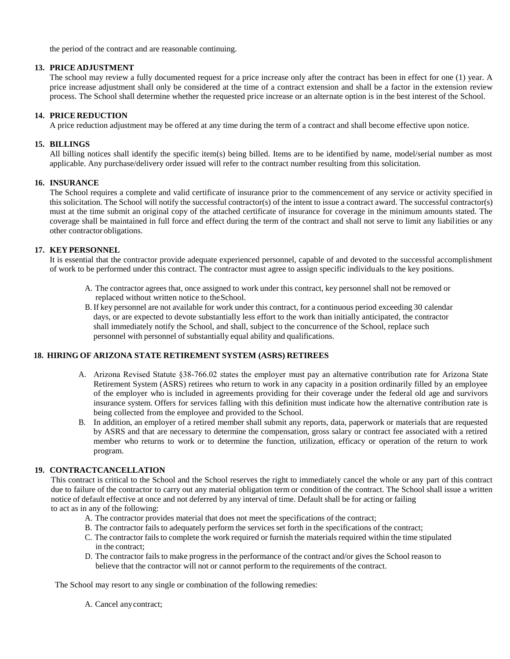the period of the contract and are reasonable continuing.

#### **13. PRICE ADJUSTMENT**

The school may review a fully documented request for a price increase only after the contract has been in effect for one (1) year. A price increase adjustment shall only be considered at the time of a contract extension and shall be a factor in the extension review process. The School shall determine whether the requested price increase or an alternate option is in the best interest of the School.

#### **14. PRICE REDUCTION**

A price reduction adjustment may be offered at any time during the term of a contract and shall become effective upon notice.

#### **15. BILLINGS**

All billing notices shall identify the specific item(s) being billed. Items are to be identified by name, model/serial number as most applicable. Any purchase/delivery order issued will refer to the contract number resulting from this solicitation.

#### **16. INSURANCE**

The School requires a complete and valid certificate of insurance prior to the commencement of any service or activity specified in this solicitation. The School will notify the successful contractor(s) of the intent to issue a contract award. The successful contractor(s) must at the time submit an original copy of the attached certificate of insurance for coverage in the minimum amounts stated. The coverage shall be maintained in full force and effect during the term of the contract and shall not serve to limit any liabilities or any other contractor obligations.

#### **17. KEY PERSONNEL**

It is essential that the contractor provide adequate experienced personnel, capable of and devoted to the successful accomplishment of work to be performed under this contract. The contractor must agree to assign specific individuals to the key positions.

- A. The contractor agrees that, once assigned to work under this contract, key personnel shall not be removed or replaced without written notice to theSchool.
- B. If key personnel are not available for work under this contract, for a continuous period exceeding 30 calendar days, or are expected to devote substantially less effort to the work than initially anticipated, the contractor shall immediately notify the School, and shall, subject to the concurrence of the School, replace such personnel with personnel of substantially equal ability and qualifications.

#### **18. HIRING OF ARIZONA STATE RETIREMENT SYSTEM (ASRS) RETIREES**

- A. Arizona Revised Statute §38‐766.02 states the employer must pay an alternative contribution rate for Arizona State Retirement System (ASRS) retirees who return to work in any capacity in a position ordinarily filled by an employee of the employer who is included in agreements providing for their coverage under the federal old age and survivors insurance system. Offers for services falling with this definition must indicate how the alternative contribution rate is being collected from the employee and provided to the School.
- B. In addition, an employer of a retired member shall submit any reports, data, paperwork or materials that are requested by ASRS and that are necessary to determine the compensation, gross salary or contract fee associated with a retired member who returns to work or to determine the function, utilization, efficacy or operation of the return to work program.

# **19. CONTRACTCANCELLATION**

This contract is critical to the School and the School reserves the right to immediately cancel the whole or any part of this contract due to failure of the contractor to carry out any material obligation term or condition of the contract. The School shall issue a written notice of default effective at once and not deferred by any interval of time. Default shall be for acting or failing to act as in any of the following:

- A. The contractor provides material that does not meet the specifications of the contract;
- B. The contractor fails to adequately perform the services set forth in the specifications of the contract;
- C. The contractor fails to complete the work required or furnish the materials required within the time stipulated in the contract;
- D. The contractor fails to make progress in the performance of the contract and/or gives the School reason to believe that the contractor will not or cannot perform to the requirements of the contract.

The School may resort to any single or combination of the following remedies:

A. Cancel anycontract;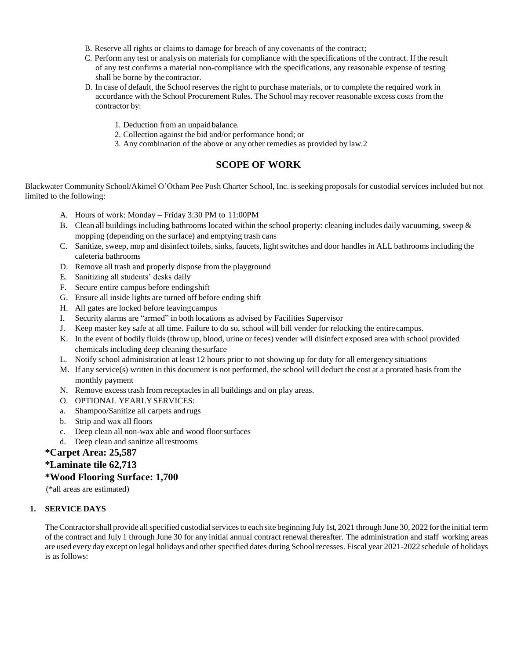- B. Reserve all rights or claims to damage for breach of any covenants of the contract;
- C. Perform any test or analysis on materials for compliance with the specifications of the contract. If the result of any test confirms a material non-compliance with the specifications, any reasonable expense of testing shall be borne by thecontractor.
- D. In case of default, the School reserves the right to purchase materials, or to complete the required work in accordance with the School Procurement Rules. The School may recover reasonable excess costs fromthe contractor by:
	- 1. Deduction from an unpaidbalance.
	- 2. Collection against the bid and/or performance bond; or
	- 3. Any combination of the above or any other remedies as provided by law.2

# **SCOPE OF WORK**

Blackwater Community School/Akimel O'Otham Pee Posh Charter School, Inc. isseeking proposals for custodial services included but not limited to the following:

- A. Hours of work: Monday Friday 3:30 PM to 11:00PM
- B. Clean all buildings including bathrooms located within the school property: cleaning includes daily vacuuming, sweep  $\&$ mopping (depending on the surface) and emptying trash cans
- C. Sanitize, sweep, mop and disinfect toilets, sinks, faucets, light switches and door handles in ALL bathrooms including the cafeteria bathrooms
- D. Remove all trash and properly dispose from the playground
- E. Sanitizing all students' desks daily
- F. Secure entire campus before endingshift
- G. Ensure all inside lights are turned off before ending shift
- H. All gates are locked before leavingcampus
- I. Security alarms are "armed" in both locations as advised by Facilities Supervisor
- J. Keep master key safe at all time. Failure to do so, school will bill vender for relocking the entire campus.
- K. In the event of bodily fluids (throw up, blood, urine or feces) vender will disinfect exposed area with school provided chemicals including deep cleaning the surface
- L. Notify school administration at least 12 hours prior to not showing up for duty for all emergency situations
- M. If any service(s) written in this document is not performed, the school will deduct the cost at a prorated basis from the monthly payment
- N. Remove excess trash from receptacles in all buildings and on play areas.
- O. OPTIONAL YEARLYSERVICES:
- a. Shampoo/Sanitize all carpets and rugs
- b. Strip and wax all floors
- c. Deep clean all non-wax able and wood floorsurfaces
- d. Deep clean and sanitize allrestrooms

# **\*Carpet Area: 25,587**

# **\*Laminate tile 62,713**

# **\*Wood Flooring Surface: 1,700**

(\*all areas are estimated)

# **1. SERVICE DAYS**

The Contractor shall provide all specified custodial services to each site beginning July 1st, 2021 through June 30, 2022 for the initial term of the contract and July 1 through June 30 for any initial annual contract renewal thereafter. The administration and staff working areas are used every day except on legal holidays and other specified dates during School recesses. Fiscal year 2021-2022 schedule of holidays is asfollows: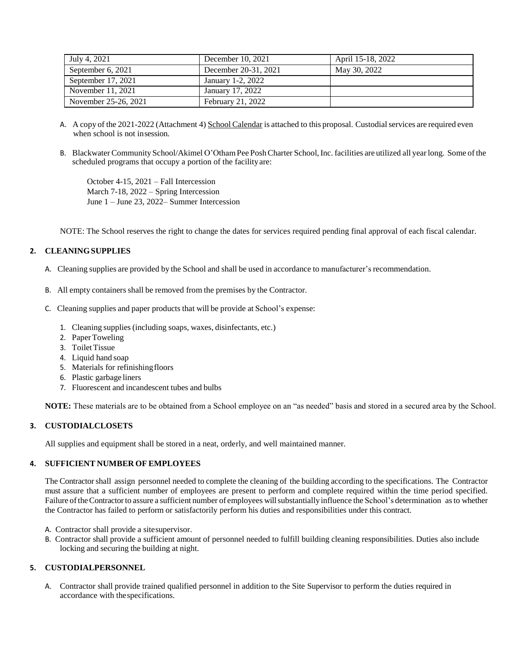| July 4, 2021         | December 10, 2021    | April 15-18, 2022 |
|----------------------|----------------------|-------------------|
| September 6, 2021    | December 20-31, 2021 | May 30, 2022      |
| September $17, 2021$ | January 1-2, 2022    |                   |
| November 11, 2021    | January 17, 2022     |                   |
| November 25-26, 2021 | February 21, 2022    |                   |

- A. A copy of the 2021-2022 (Attachment 4) School Calendar is attached to this proposal. Custodial services are required even when school is not insession.
- B. Blackwater Community School/Akimel O'Otham Pee Posh Charter School, Inc. facilities are utilized all year long. Some of the scheduled programs that occupy a portion of the facilityare:

October 4-15, 2021 – Fall Intercession March 7-18, 2022 – Spring Intercession June 1 – June 23, 2022– Summer Intercession

NOTE: The School reserves the right to change the dates for services required pending final approval of each fiscal calendar.

# **2. CLEANINGSUPPLIES**

- A. Cleaning supplies are provided by the School and shall be used in accordance to manufacturer's recommendation.
- B. All empty containers shall be removed from the premises by the Contractor.
- C. Cleaning supplies and paper products that will be provide at School's expense:
	- 1. Cleaning supplies(including soaps, waxes, disinfectants, etc.)
	- 2. PaperToweling
	- 3. Toilet Tissue
	- 4. Liquid hand soap
	- 5. Materials for refinishingfloors
	- 6. Plastic garbage liners
	- 7. Fluorescent and incandescent tubes and bulbs

**NOTE:** These materials are to be obtained from a School employee on an "as needed" basis and stored in a secured area by the School.

# **3. CUSTODIALCLOSETS**

All supplies and equipment shall be stored in a neat, orderly, and well maintained manner.

# **4. SUFFICIENT NUMBER OF EMPLOYEES**

The Contractorshall assign personnel needed to complete the cleaning of the building according to the specifications. The Contractor must assure that a sufficient number of employees are present to perform and complete required within the time period specified. Failure of the Contractor to assure a sufficient number of employees will substantially influence the School's determination as to whether the Contractor has failed to perform or satisfactorily perform his duties and responsibilities under this contract.

- A. Contractor shall provide a sitesupervisor.
- B. Contractor shall provide a sufficient amount of personnel needed to fulfill building cleaning responsibilities. Duties also include locking and securing the building at night.

# **5. CUSTODIALPERSONNEL**

A. Contractor shall provide trained qualified personnel in addition to the Site Supervisor to perform the duties required in accordance with thespecifications.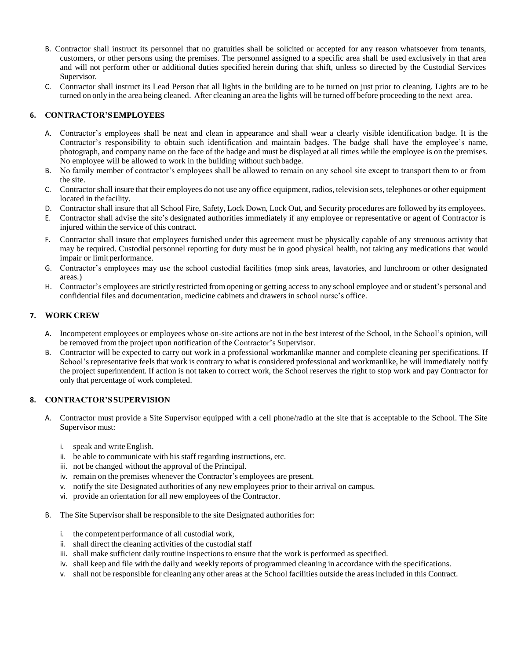- B. Contractor shall instruct its personnel that no gratuities shall be solicited or accepted for any reason whatsoever from tenants, customers, or other persons using the premises. The personnel assigned to a specific area shall be used exclusively in that area and will not perform other or additional duties specified herein during that shift, unless so directed by the Custodial Services Supervisor.
- C. Contractor shall instruct its Lead Person that all lights in the building are to be turned on just prior to cleaning. Lights are to be turned on only in the area being cleaned. After cleaning an area the lights will be turned off before proceeding to the next area.

# **6. CONTRACTOR'SEMPLOYEES**

- A. Contractor's employees shall be neat and clean in appearance and shall wear a clearly visible identification badge. It is the Contractor's responsibility to obtain such identification and maintain badges. The badge shall have the employee's name, photograph, and company name on the face of the badge and must be displayed at all times while the employee is on the premises. No employee will be allowed to work in the building without such badge.
- B. No family member of contractor's employees shall be allowed to remain on any school site except to transport them to or from the site.
- C. Contractor shall insure that their employees do not use any office equipment, radios, television sets, telephones or other equipment located in the facility.
- D. Contractor shall insure that all School Fire, Safety, Lock Down, Lock Out, and Security procedures are followed by its employees.
- E. Contractor shall advise the site's designated authorities immediately if any employee or representative or agent of Contractor is injured within the service of this contract.
- F. Contractor shall insure that employees furnished under this agreement must be physically capable of any strenuous activity that may be required. Custodial personnel reporting for duty must be in good physical health, not taking any medications that would impair or limit performance.
- G. Contractor's employees may use the school custodial facilities (mop sink areas, lavatories, and lunchroom or other designated areas.)
- H. Contractor's employees are strictly restricted fromopening or getting access to any school employee and or student's personal and confidential files and documentation, medicine cabinets and drawers in school nurse's office.

# **7. WORK CREW**

- A. Incompetent employees or employees whose on-site actions are not in the best interest of the School, in the School's opinion, will be removed from the project upon notification of the Contractor's Supervisor.
- B. Contractor will be expected to carry out work in a professional workmanlike manner and complete cleaning per specifications. If School's representative feels that work is contrary to what is considered professional and workmanlike, he will immediately notify the project superintendent. If action is not taken to correct work, the School reserves the right to stop work and pay Contractor for only that percentage of work completed.

# **8. CONTRACTOR'SSUPERVISION**

- A. Contractor must provide a Site Supervisor equipped with a cell phone/radio at the site that is acceptable to the School. The Site Supervisor must:
	- i. speak and write English.
	- ii. be able to communicate with his staff regarding instructions, etc.
	- iii. not be changed without the approval of the Principal.
	- iv. remain on the premises whenever the Contractor's employees are present.
	- v. notify the site Designated authorities of any new employees prior to their arrival on campus.
	- vi. provide an orientation for all new employees of the Contractor.
- B. The Site Supervisor shall be responsible to the site Designated authorities for:
	- i. the competent performance of all custodial work,
	- ii. shall direct the cleaning activities of the custodial staff
	- iii. shall make sufficient daily routine inspections to ensure that the work is performed as specified.
	- iv. shall keep and file with the daily and weekly reports of programmed cleaning in accordance with the specifications.
	- v. shall not be responsible for cleaning any other areas at the School facilities outside the areas included in this Contract.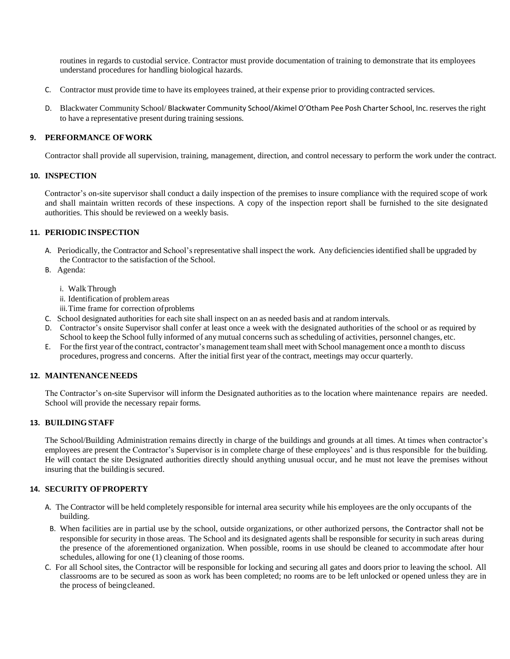routines in regards to custodial service. Contractor must provide documentation of training to demonstrate that its employees understand procedures for handling biological hazards.

- C. Contractor must provide time to have its employees trained, at their expense prior to providing contracted services.
- D. Blackwater Community School/ Blackwater Community School/Akimel O'Otham Pee Posh Charter School, Inc. reserves the right to have a representative present during training sessions.

#### **9. PERFORMANCE OFWORK**

Contractor shall provide all supervision, training, management, direction, and control necessary to perform the work under the contract.

#### **10. INSPECTION**

Contractor's on-site supervisor shall conduct a daily inspection of the premises to insure compliance with the required scope of work and shall maintain written records of these inspections. A copy of the inspection report shall be furnished to the site designated authorities. This should be reviewed on a weekly basis.

# **11. PERIODICINSPECTION**

- A. Periodically, the Contractor and School's representative shall inspect the work. Any deficiencies identified shall be upgraded by the Contractor to the satisfaction of the School.
- B. Agenda:
	- i. Walk Through
	- ii. Identification of problem areas
	- iii.Time frame for correction ofproblems
- C. School designated authorities for each site shall inspect on an as needed basis and at random intervals.
- D. Contractor's onsite Supervisor shall confer at least once a week with the designated authorities of the school or as required by School to keep the School fully informed of any mutual concerns such asscheduling of activities, personnel changes, etc.
- E. For the first year ofthe contract, contractor's management teamshall meet with School management once a month to discuss procedures, progress and concerns. After the initial first year of the contract, meetings may occur quarterly.

# **12. MAINTENANCENEEDS**

The Contractor's on-site Supervisor will inform the Designated authorities as to the location where maintenance repairs are needed. School will provide the necessary repair forms.

#### **13. BUILDINGSTAFF**

The School/Building Administration remains directly in charge of the buildings and grounds at all times. At times when contractor's employees are present the Contractor's Supervisor is in complete charge of these employees' and is thus responsible for the building. He will contact the site Designated authorities directly should anything unusual occur, and he must not leave the premises without insuring that the buildingis secured.

#### **14. SECURITY OFPROPERTY**

- A. The Contractor will be held completely responsible for internal area security while his employees are the only occupants of the building.
- B. When facilities are in partial use by the school, outside organizations, or other authorized persons, the Contractor shall not be responsible for security in those areas. The School and its designated agents shall be responsible for security in such areas during the presence of the aforementioned organization. When possible, rooms in use should be cleaned to accommodate after hour schedules, allowing for one (1) cleaning of those rooms.
- C. For all School sites, the Contractor will be responsible for locking and securing all gates and doors prior to leaving the school. All classrooms are to be secured as soon as work has been completed; no rooms are to be left unlocked or opened unless they are in the process of beingcleaned.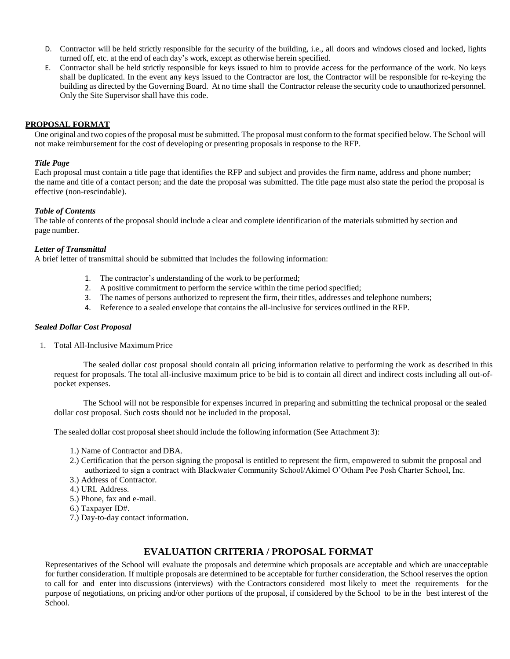- D. Contractor will be held strictly responsible for the security of the building, i.e., all doors and windows closed and locked, lights turned off, etc. at the end of each day's work, except as otherwise herein specified.
- E. Contractor shall be held strictly responsible for keys issued to him to provide access for the performance of the work. No keys shall be duplicated. In the event any keys issued to the Contractor are lost, the Contractor will be responsible for re‐keying the building as directed by the Governing Board. At no time shall the Contractor release the security code to unauthorized personnel. Only the Site Supervisor shall have this code.

# **PROPOSAL FORMAT**

One original and two copies of the proposal must be submitted. The proposal must conform to the format specified below. The School will not make reimbursement for the cost of developing or presenting proposals in response to the RFP.

## *Title Page*

Each proposal must contain a title page that identifies the RFP and subject and provides the firm name, address and phone number; the name and title of a contact person; and the date the proposal was submitted. The title page must also state the period the proposal is effective (non-rescindable).

# *Table of Contents*

The table of contents of the proposal should include a clear and complete identification of the materials submitted by section and page number.

#### *Letter of Transmittal*

A brief letter of transmittal should be submitted that includes the following information:

- 1. The contractor's understanding of the work to be performed;
- 2. A positive commitment to perform the service within the time period specified;
- 3. The names of persons authorized to represent the firm, their titles, addresses and telephone numbers;
- 4. Reference to a sealed envelope that contains the all-inclusive for services outlined in the RFP.

#### *Sealed Dollar Cost Proposal*

1. Total All-Inclusive MaximumPrice

The sealed dollar cost proposal should contain all pricing information relative to performing the work as described in this request for proposals. The total all-inclusive maximum price to be bid is to contain all direct and indirect costs including all out-ofpocket expenses.

The School will not be responsible for expenses incurred in preparing and submitting the technical proposal or the sealed dollar cost proposal. Such costs should not be included in the proposal.

The sealed dollar cost proposal sheet should include the following information (See Attachment 3):

- 1.) Name of Contractor and DBA.
- 2.) Certification that the person signing the proposal is entitled to represent the firm, empowered to submit the proposal and authorized to sign a contract with Blackwater Community School/Akimel O'Otham Pee Posh Charter School, Inc.
- 3.) Address of Contractor.
- 4.) URL Address.
- 5.) Phone, fax and e-mail.
- 6.) Taxpayer ID#.
- 7.) Day-to-day contact information.

# **EVALUATION CRITERIA / PROPOSAL FORMAT**

Representatives of the School will evaluate the proposals and determine which proposals are acceptable and which are unacceptable for further consideration. If multiple proposals are determined to be acceptable for further consideration, the School reserves the option to call for and enter into discussions (interviews) with the Contractors considered most likely to meet the requirements for the purpose of negotiations, on pricing and/or other portions of the proposal, if considered by the School to be in the best interest of the School.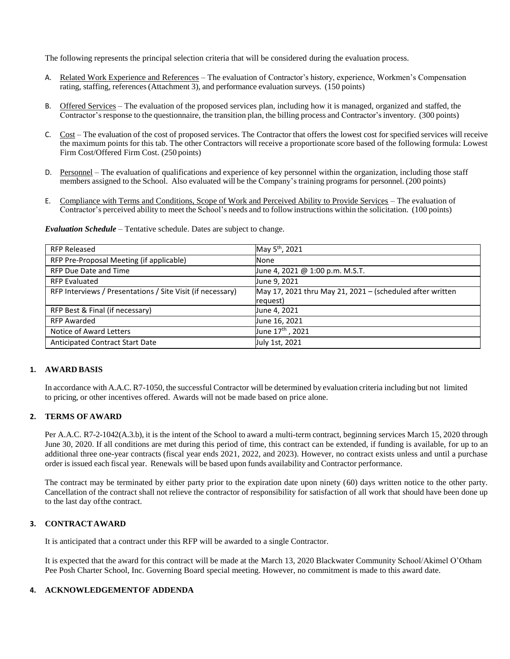The following represents the principal selection criteria that will be considered during the evaluation process.

- A. Related Work Experience and References The evaluation of Contractor's history, experience, Workmen's Compensation rating, staffing, references(Attachment 3), and performance evaluation surveys. (150 points)
- B. Offered Services The evaluation of the proposed services plan, including how it is managed, organized and staffed, the Contractor's response to the questionnaire, the transition plan, the billing process and Contractor'sinventory. (300 points)
- C. Cost The evaluation of the cost of proposed services. The Contractor that offers the lowest cost for specified services will receive the maximum points for this tab. The other Contractors will receive a proportionate score based of the following formula: Lowest Firm Cost/Offered Firm Cost. (250 points)
- D. Personnel The evaluation of qualifications and experience of key personnel within the organization, including those staff members assigned to the School. Also evaluated will be the Company's training programs for personnel. (200 points)
- E. Compliance with Terms and Conditions, Scope of Work and Perceived Ability to Provide Services The evaluation of Contractor's perceived ability to meet the School's needs and to follow instructions within the solicitation. (100 points)

| <b>RFP Released</b>                                        | May 5 <sup>th</sup> , 2021                                |
|------------------------------------------------------------|-----------------------------------------------------------|
| RFP Pre-Proposal Meeting (if applicable)                   | None                                                      |
| <b>RFP Due Date and Time</b>                               | June 4, 2021 @ 1:00 p.m. M.S.T.                           |
| <b>RFP Evaluated</b>                                       | June 9, 2021                                              |
| RFP Interviews / Presentations / Site Visit (if necessary) | May 17, 2021 thru May 21, 2021 - (scheduled after written |
|                                                            | request)                                                  |
| RFP Best & Final (if necessary)                            | June 4, 2021                                              |
| <b>RFP Awarded</b>                                         | June 16, 2021                                             |
| Notice of Award Letters                                    | June 17 <sup>th</sup> , 2021                              |
| Anticipated Contract Start Date                            | July 1st, 2021                                            |

*Evaluation Schedule* – Tentative schedule. Dates are subject to change.

#### **1. AWARD BASIS**

In accordance with A.A.C. R7-1050, the successful Contractor will be determined by evaluation criteria including but not limited to pricing, or other incentives offered. Awards will not be made based on price alone.

# **2. TERMS OF AWARD**

Per A.A.C. R7-2-1042(A.3.b), it is the intent of the School to award a multi-term contract, beginning services March 15, 2020 through June 30, 2020. If all conditions are met during this period of time, this contract can be extended, if funding is available, for up to an additional three one-year contracts (fiscal year ends 2021, 2022, and 2023). However, no contract exists unless and until a purchase order is issued each fiscal year. Renewals will be based upon funds availability and Contractor performance.

The contract may be terminated by either party prior to the expiration date upon ninety (60) days written notice to the other party. Cancellation of the contract shall not relieve the contractor of responsibility for satisfaction of all work that should have been done up to the last day ofthe contract.

#### **3. CONTRACTAWARD**

It is anticipated that a contract under this RFP will be awarded to a single Contractor.

It is expected that the award for this contract will be made at the March 13, 2020 Blackwater Community School/Akimel O'Otham Pee Posh Charter School, Inc. Governing Board special meeting. However, no commitment is made to this award date.

#### **4. ACKNOWLEDGEMENTOF ADDENDA**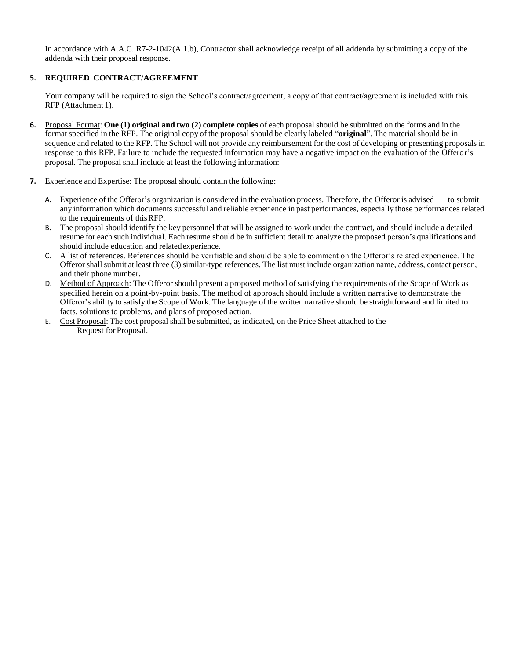In accordance with A.A.C. R7-2-1042(A.1.b), Contractor shall acknowledge receipt of all addenda by submitting a copy of the addenda with their proposal response.

# **5. REQUIRED CONTRACT/AGREEMENT**

Your company will be required to sign the School's contract/agreement, a copy of that contract/agreement is included with this RFP (Attachment 1).

- **6.** Proposal Format: **One (1) original and two (2) complete copies** of each proposal should be submitted on the forms and in the format specified in the RFP. The original copy of the proposal should be clearly labeled "**original**". The material should be in sequence and related to the RFP. The School will not provide any reimbursement for the cost of developing or presenting proposals in response to this RFP. Failure to include the requested information may have a negative impact on the evaluation of the Offeror's proposal. The proposal shall include at least the following information:
- **7.** Experience and Expertise: The proposal should contain the following:
	- A. Experience of the Offeror's organization is considered in the evaluation process. Therefore, the Offeror is advised to submit any information which documents successful and reliable experience in past performances, especially those performances related to the requirements of thisRFP.
	- B. The proposal should identify the key personnel that will be assigned to work under the contract, and should include a detailed resume for each such individual. Each resume should be in sufficient detail to analyze the proposed person's qualifications and should include education and relatedexperience.
	- C. A list of references. References should be verifiable and should be able to comment on the Offeror's related experience. The Offeror shall submit at least three (3) similar-type references. The list must include organization name, address, contact person, and their phone number.
	- D. Method of Approach: The Offeror should present a proposed method of satisfying the requirements of the Scope of Work as specified herein on a point-by-point basis. The method of approach should include a written narrative to demonstrate the Offeror's ability to satisfy the Scope of Work. The language of the written narrative should be straightforward and limited to facts, solutions to problems, and plans of proposed action.
	- E. Cost Proposal: The cost proposal shall be submitted, as indicated, on the Price Sheet attached to the Request for Proposal.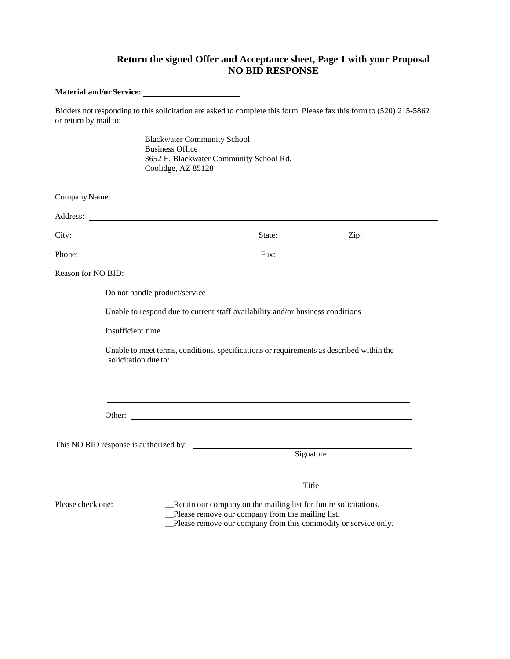# **Return the signed Offer and Acceptance sheet, Page 1 with your Proposal NO BID RESPONSE**

**Material and/orService:** Bidders not responding to this solicitation are asked to complete this form. Please fax this form to (520) 215-5862 or return by mail to: Blackwater Community School Business Office 3652 E. Blackwater Community School Rd. Coolidge, AZ 85128 Company Name: Letterstein the company Name: Letterstein the company Name: Letterstein the company Name: Letterstein the company Name: Letterstein the company Name: Letterstein the company Name: Letterstein the company Name Address: City: State: Zip: Zip: Phone: Fax: Reason for NO BID: Do not handle product/service Unable to respond due to current staff availability and/or business conditions Insufficient time Unable to meet terms, conditions, specifications or requirements as described within the solicitation due to: Other: This NO BID response is authorized by: Signature Title Please check one: \_\_Retain our company on the mailing list for future solicitations. \_\_Please remove our company from the mailing list. \_\_Please remove our company from this commodity or service only.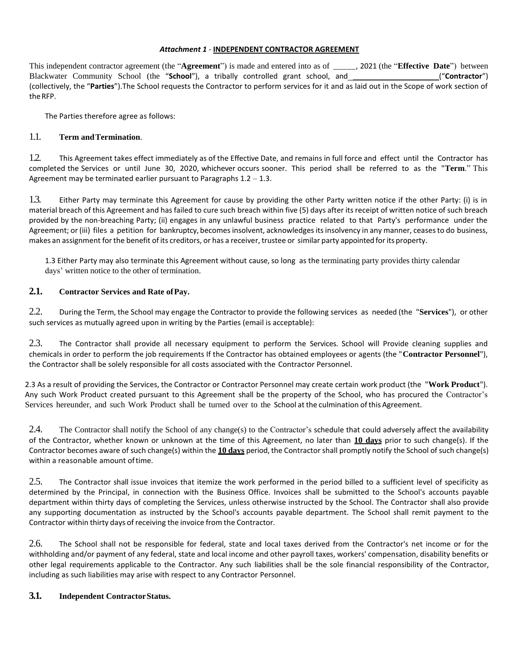#### *Attachment 1* - **INDEPENDENT CONTRACTOR AGREEMENT**

This independent contractor agreement (the "**Agreement**") is made and entered into as of \_\_\_\_\_, 2021 (the "**Effective Date**") between Blackwater Community School (the "**School**"), a tribally controlled grant school, and ["**Contractor"**) (collectively, the "**Parties**").The School requests the Contractor to perform services for it and as laid out in the Scope of work section of theRFP.

The Parties therefore agree as follows:

# 1.1. **Term andTermination**.

1.2. This Agreement takes effect immediately as of the Effective Date, and remains in full force and effect until the Contractor has completed the Services or until June 30, 2020, whichever occurs sooner. This period shall be referred to as the "**Term**." This Agreement may be terminated earlier pursuant to Paragraphs  $1.2 - 1.3$ .

1.3. Either Party may terminate this Agreement for cause by providing the other Party written notice if the other Party: (i) is in material breach of this Agreement and has failed to cure such breach within five (5) days after its receipt of written notice of such breach provided by the non-breaching Party; (ii) engages in any unlawful business practice related to that Party's performance under the Agreement; or (iii) files a petition for bankruptcy, becomes insolvent, acknowledges its insolvency in any manner, ceases to do business, makes an assignment forthe benefit of its creditors, or has a receiver, trustee or similar party appointed forits property.

1.3 Either Party may also terminate this Agreement without cause, so long as the terminating party provides thirty calendar days' written notice to the other of termination.

# **2.1. Contractor Services and Rate ofPay.**

2.2. During the Term, the School may engage the Contractor to provide the following services as needed (the "**Services**"), or other such services as mutually agreed upon in writing by the Parties (email is acceptable):

2.3. The Contractor shall provide all necessary equipment to perform the Services. School will Provide cleaning supplies and chemicals in order to perform the job requirements If the Contractor has obtained employees or agents (the "**Contractor Personnel**"), the Contractor shall be solely responsible for all costs associated with the Contractor Personnel.

2.3 As a result of providing the Services, the Contractor or Contractor Personnel may create certain work product (the "**Work Product**"). Any such Work Product created pursuant to this Agreement shall be the property of the School, who has procured the Contractor's Services hereunder, and such Work Product shall be turned over to the School at the culmination ofthis Agreement.

2.4. The Contractor shall notify the School of any change(s) to the Contractor's schedule that could adversely affect the availability of the Contractor, whether known or unknown at the time of this Agreement, no later than **10 days** prior to such change(s). If the Contractor becomes aware of such change(s) within the **10 days** period, the Contractor shall promptly notify the School of such change(s) within a reasonable amount oftime.

2.5. The Contractor shall issue invoices that itemize the work performed in the period billed to a sufficient level of specificity as determined by the Principal, in connection with the Business Office. Invoices shall be submitted to the School's accounts payable department within thirty days of completing the Services, unless otherwise instructed by the School. The Contractor shall also provide any supporting documentation as instructed by the School's accounts payable department. The School shall remit payment to the Contractor within thirty days of receiving the invoice from the Contractor.

2.6. The School shall not be responsible for federal, state and local taxes derived from the Contractor's net income or for the withholding and/or payment of any federal, state and local income and other payroll taxes, workers' compensation, disability benefits or other legal requirements applicable to the Contractor. Any such liabilities shall be the sole financial responsibility of the Contractor, including as such liabilities may arise with respect to any Contractor Personnel.

# **3.1. Independent ContractorStatus.**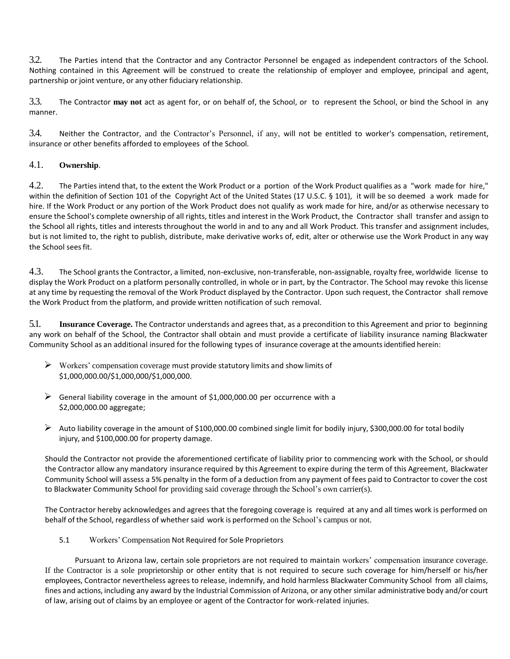3.2. The Parties intend that the Contractor and any Contractor Personnel be engaged as independent contractors of the School. Nothing contained in this Agreement will be construed to create the relationship of employer and employee, principal and agent, partnership or joint venture, or any other fiduciary relationship.

3.3. The Contractor **may not** act as agent for, or on behalf of, the School, or to represent the School, or bind the School in any manner.

3.4. Neither the Contractor, and the Contractor's Personnel, if any, will not be entitled to worker's compensation, retirement, insurance or other benefits afforded to employees of the School.

# 4.1. **Ownership**.

4.2. The Parties intend that, to the extent the Work Product or a portion of the Work Product qualifies as a "work made for hire," within the definition of Section 101 of the Copyright Act of the United States (17 U.S.C. § 101), it will be so deemed a work made for hire. If the Work Product or any portion of the Work Product does not qualify as work made for hire, and/or as otherwise necessary to ensure the School's complete ownership of all rights, titles and interest in the Work Product, the Contractor shall transfer and assign to the School all rights, titles and interests throughout the world in and to any and all Work Product. This transfer and assignment includes, but is not limited to, the right to publish, distribute, make derivative works of, edit, alter or otherwise use the Work Product in any way the School sees fit.

4.3. The School grants the Contractor, a limited, non-exclusive, non-transferable, non-assignable, royalty free, worldwide license to display the Work Product on a platform personally controlled, in whole or in part, by the Contractor. The School may revoke this license at any time by requesting the removal of the Work Product displayed by the Contractor. Upon such request, the Contractor shall remove the Work Product from the platform, and provide written notification of such removal.

5.1. **Insurance Coverage.** The Contractor understands and agrees that, as a precondition to this Agreement and prior to beginning any work on behalf of the School, the Contractor shall obtain and must provide a certificate of liability insurance naming Blackwater Community School as an additional insured for the following types of insurance coverage at the amounts identified herein:

- $\triangleright$  Workers' compensation coverage must provide statutory limits and show limits of \$1,000,000.00/\$1,000,000/\$1,000,000.
- $\triangleright$  General liability coverage in the amount of \$1,000,000.00 per occurrence with a \$2,000,000.00 aggregate;
- $\triangleright$  Auto liability coverage in the amount of \$100,000.00 combined single limit for bodily injury, \$300,000.00 for total bodily injury, and \$100,000.00 for property damage.

Should the Contractor not provide the aforementioned certificate of liability prior to commencing work with the School, or should the Contractor allow any mandatory insurance required by this Agreement to expire during the term of this Agreement, Blackwater Community School will assess a 5% penalty in the form of a deduction from any payment of fees paid to Contractor to cover the cost to Blackwater Community School for providing said coverage through the School's own carrier(s).

The Contractor hereby acknowledges and agrees that the foregoing coverage is required at any and all times work is performed on behalf of the School, regardless of whether said work is performed on the School's campus or not.

5.1 Workers' Compensation Not Required for Sole Proprietors

Pursuant to Arizona law, certain sole proprietors are not required to maintain workers' compensation insurance coverage. If the Contractor is a sole proprietorship or other entity that is not required to secure such coverage for him/herself or his/her employees, Contractor nevertheless agrees to release, indemnify, and hold harmless Blackwater Community School from all claims, fines and actions, including any award by the Industrial Commission of Arizona, or any other similar administrative body and/or court of law, arising out of claims by an employee or agent of the Contractor for work-related injuries.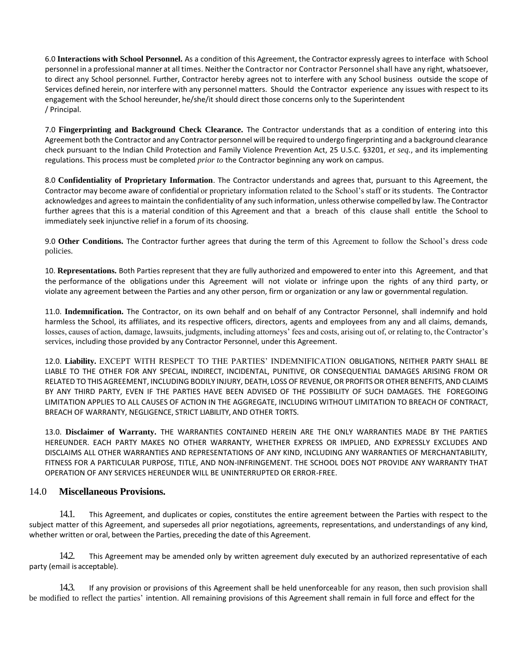6.0 **Interactions with School Personnel.** As a condition of this Agreement, the Contractor expressly agrees to interface with School personnel in a professional manner at all times. Neither the Contractor nor Contractor Personnel shall have any right, whatsoever, to direct any School personnel. Further, Contractor hereby agrees not to interfere with any School business outside the scope of Services defined herein, nor interfere with any personnel matters. Should the Contractor experience any issues with respect to its engagement with the School hereunder, he/she/it should direct those concerns only to the Superintendent / Principal.

7.0 **Fingerprinting and Background Check Clearance.** The Contractor understands that as a condition of entering into this Agreement both the Contractor and any Contractor personnel will be required to undergo fingerprinting and a background clearance check pursuant to the Indian Child Protection and Family Violence Prevention Act, 25 U.S.C. §3201, *et seq.*, and its implementing regulations. This process must be completed *prior to* the Contractor beginning any work on campus.

8.0 **Confidentiality of Proprietary Information**. The Contractor understands and agrees that, pursuant to this Agreement, the Contractor may become aware of confidential or proprietary information related to the School's staff or its students. The Contractor acknowledges and agrees to maintain the confidentiality of any such information, unless otherwise compelled by law. The Contractor further agrees that this is a material condition of this Agreement and that a breach of this clause shall entitle the School to immediately seek injunctive relief in a forum of its choosing.

9.0 **Other Conditions.** The Contractor further agrees that during the term of this Agreement to follow the School's dress code policies.

10. **Representations.** Both Parties represent that they are fully authorized and empowered to enter into this Agreement, and that the performance of the obligations under this Agreement will not violate or infringe upon the rights of any third party, or violate any agreement between the Parties and any other person, firm or organization or any law or governmental regulation.

11.0. **Indemnification.** The Contractor, on its own behalf and on behalf of any Contractor Personnel, shall indemnify and hold harmless the School, its affiliates, and its respective officers, directors, agents and employees from any and all claims, demands, losses, causes of action, damage, lawsuits, judgments, including attorneys' fees and costs, arising out of, or relating to, the Contractor's services, including those provided by any Contractor Personnel, under this Agreement.

12.0. **Liability.** EXCEPT WITH RESPECT TO THE PARTIES' INDEMNIFICATION OBLIGATIONS, NEITHER PARTY SHALL BE LIABLE TO THE OTHER FOR ANY SPECIAL, INDIRECT, INCIDENTAL, PUNITIVE, OR CONSEQUENTIAL DAMAGES ARISING FROM OR RELATED TO THIS AGREEMENT, INCLUDING BODILY INJURY, DEATH, LOSS OF REVENUE, OR PROFITS OR OTHER BENEFITS, AND CLAIMS BY ANY THIRD PARTY, EVEN IF THE PARTIES HAVE BEEN ADVISED OF THE POSSIBILITY OF SUCH DAMAGES. THE FOREGOING LIMITATION APPLIES TO ALL CAUSES OF ACTION IN THE AGGREGATE, INCLUDING WITHOUT LIMITATION TO BREACH OF CONTRACT, BREACH OF WARRANTY, NEGLIGENCE, STRICT LIABILITY, AND OTHER TORTS.

13.0. **Disclaimer of Warranty.** THE WARRANTIES CONTAINED HEREIN ARE THE ONLY WARRANTIES MADE BY THE PARTIES HEREUNDER. EACH PARTY MAKES NO OTHER WARRANTY, WHETHER EXPRESS OR IMPLIED, AND EXPRESSLY EXCLUDES AND DISCLAIMS ALL OTHER WARRANTIES AND REPRESENTATIONS OF ANY KIND, INCLUDING ANY WARRANTIES OF MERCHANTABILITY, FITNESS FOR A PARTICULAR PURPOSE, TITLE, AND NON-INFRINGEMENT. THE SCHOOL DOES NOT PROVIDE ANY WARRANTY THAT OPERATION OF ANY SERVICES HEREUNDER WILL BE UNINTERRUPTED OR ERROR-FREE.

# 14.0 **Miscellaneous Provisions.**

14.1. This Agreement, and duplicates or copies, constitutes the entire agreement between the Parties with respect to the subject matter of this Agreement, and supersedes all prior negotiations, agreements, representations, and understandings of any kind, whether written or oral, between the Parties, preceding the date of this Agreement.

14.2. This Agreement may be amended only by written agreement duly executed by an authorized representative of each party (email is acceptable).

14.3. If any provision or provisions of this Agreement shall be held unenforceable for any reason, then such provision shall be modified to reflect the parties' intention. All remaining provisions of this Agreement shall remain in full force and effect for the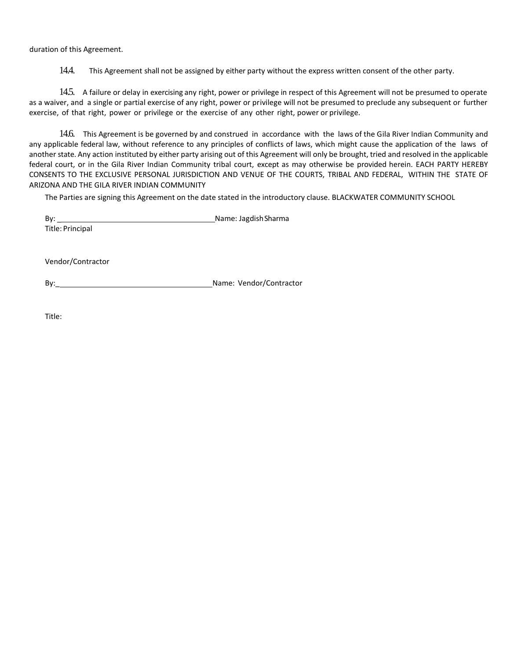duration of this Agreement.

14.4. This Agreement shall not be assigned by either party without the express written consent of the other party.

14.5. A failure or delay in exercising any right, power or privilege in respect of this Agreement will not be presumed to operate as a waiver, and a single or partial exercise of any right, power or privilege will not be presumed to preclude any subsequent or further exercise, of that right, power or privilege or the exercise of any other right, power or privilege.

14.6. This Agreement is be governed by and construed in accordance with the laws of the Gila River Indian Community and any applicable federal law, without reference to any principles of conflicts of laws, which might cause the application of the laws of another state. Any action instituted by either party arising out of this Agreement will only be brought, tried and resolved in the applicable federal court, or in the Gila River Indian Community tribal court, except as may otherwise be provided herein. EACH PARTY HEREBY CONSENTS TO THE EXCLUSIVE PERSONAL JURISDICTION AND VENUE OF THE COURTS, TRIBAL AND FEDERAL, WITHIN THE STATE OF ARIZONA AND THE GILA RIVER INDIAN COMMUNITY

The Parties are signing this Agreement on the date stated in the introductory clause. BLACKWATER COMMUNITY SCHOOL

By: \_ Name: JagdishSharma Title: Principal

Vendor/Contractor

By: Name: Vendor/Contractor

Title: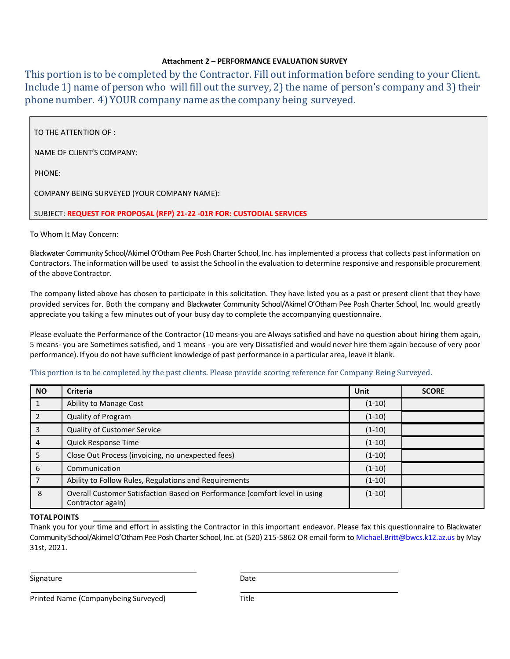# **Attachment 2 – PERFORMANCE EVALUATION SURVEY**

This portion is to be completed by the Contractor. Fill out information before sending to your Client. Include 1) name of person who will fill out the survey, 2) the name of person's company and 3) their phone number. 4) YOUR company name as the company being surveyed.

TO THE ATTENTION OF :

NAME OF CLIENT'S COMPANY:

PHONE:

COMPANY BEING SURVEYED (YOUR COMPANY NAME):

SUBJECT: **REQUEST FOR PROPOSAL (RFP) 21-22 -01R FOR: CUSTODIAL SERVICES**

To Whom It May Concern:

Blackwater Community School/Akimel O'Otham Pee Posh Charter School, Inc. has implemented a process that collects past information on Contractors. The information will be used to assist the School in the evaluation to determine responsive and responsible procurement of the aboveContractor.

The company listed above has chosen to participate in this solicitation. They have listed you as a past or present client that they have provided services for. Both the company and Blackwater Community School/Akimel O'Otham Pee Posh Charter School, Inc. would greatly appreciate you taking a few minutes out of your busy day to complete the accompanying questionnaire.

Please evaluate the Performance of the Contractor (10 means‐you are Always satisfied and have no question about hiring them again, 5 means‐ you are Sometimes satisfied, and 1 means ‐ you are very Dissatisfied and would never hire them again because of very poor performance). If you do not have sufficient knowledge of past performance in a particular area, leave it blank.

# This portion is to be completed by the past clients. Please provide scoring reference for Company Being Surveyed.

| <b>NO</b> | <b>Criteria</b>                                                                                 | Unit     | <b>SCORE</b> |
|-----------|-------------------------------------------------------------------------------------------------|----------|--------------|
|           | Ability to Manage Cost                                                                          | $(1-10)$ |              |
|           | Quality of Program                                                                              | $(1-10)$ |              |
|           | <b>Quality of Customer Service</b>                                                              | $(1-10)$ |              |
| 4         | Quick Response Time                                                                             | $(1-10)$ |              |
| 5         | Close Out Process (invoicing, no unexpected fees)                                               | $(1-10)$ |              |
| 6         | Communication                                                                                   | $(1-10)$ |              |
|           | Ability to Follow Rules, Regulations and Requirements                                           | $(1-10)$ |              |
| 8         | Overall Customer Satisfaction Based on Performance (comfort level in using<br>Contractor again) | $(1-10)$ |              |

# **TOTALPOINTS**

Thank you for your time and effort in assisting the Contractor in this important endeavor. Please fax this questionnaire to Blackwater Community School/Akimel O'Otham Pee Posh Charter School, Inc. at (520) 215‐5862 OR email form t[o Michael.Britt@bwcs.k12.az.us](mailto:Michael.Britt@bwcs.k12.az.us) by May 31st, 2021.

Signature Date Date Date

Printed Name (Companybeing Surveyed) Title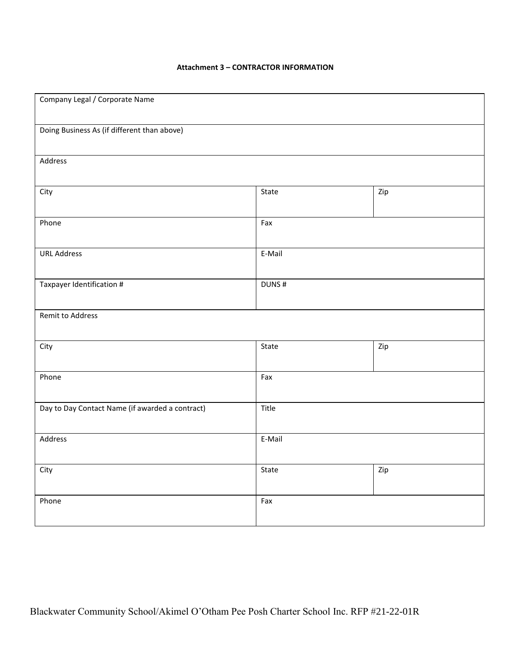| Company Legal / Corporate Name                  |        |     |  |
|-------------------------------------------------|--------|-----|--|
| Doing Business As (if different than above)     |        |     |  |
| Address                                         |        |     |  |
| City                                            | State  | Zip |  |
| Phone                                           | Fax    |     |  |
| <b>URL Address</b>                              | E-Mail |     |  |
| Taxpayer Identification #                       | DUNS#  |     |  |
| Remit to Address                                |        |     |  |
| City                                            | State  | Zip |  |
| Phone                                           | Fax    |     |  |
| Day to Day Contact Name (if awarded a contract) | Title  |     |  |
| Address                                         | E-Mail |     |  |
| City                                            | State  | Zip |  |
| Phone                                           | Fax    |     |  |
|                                                 |        |     |  |